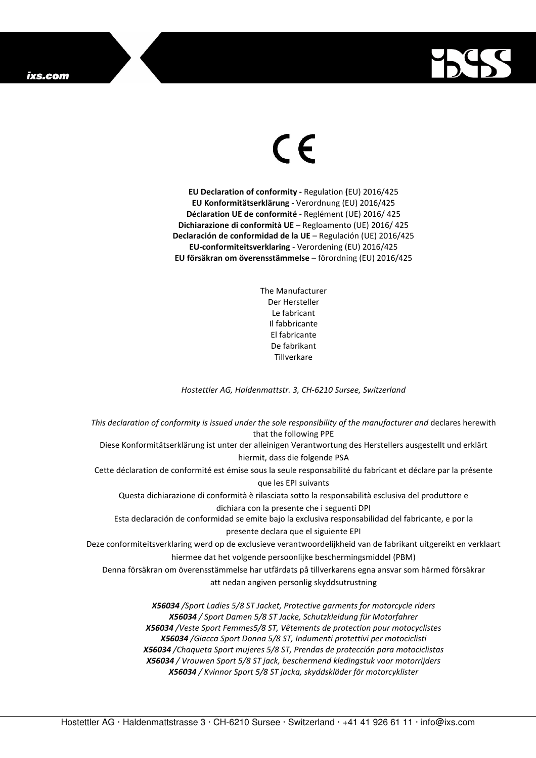## ixs.com



## $\in$

**EU Declaration of conformity -** Regulation **(**EU) 2016/425 **EU Konformitätserklärung** - Verordnung (EU) 2016/425 **Déclaration UE de conformité** - Reglément (UE) 2016/ 425 **Dichiarazione di conformità UE** – Regloamento (UE) 2016/ 425 **Declaración de conformidad de la UE** – Regulación (UE) 2016/425 **EU-conformiteitsverklaring** - Verordening (EU) 2016/425 **EU försäkran om överensstämmelse** – förordning (EU) 2016/425

> The Manufacturer Der Hersteller Le fabricant Il fabbricante El fabricante De fabrikant **Tillverkare**

*Hostettler AG, Haldenmattstr. 3, CH-6210 Sursee, Switzerland* 

*This declaration of conformity is issued under the sole responsibility of the manufacturer and* declares herewith that the following PPE Diese Konformitätserklärung ist unter der alleinigen Verantwortung des Herstellers ausgestellt und erklärt hiermit, dass die folgende PSA Cette déclaration de conformité est émise sous la seule responsabilité du fabricant et déclare par la présente que les EPI suivants Questa dichiarazione di conformità è rilasciata sotto la responsabilità esclusiva del produttore e dichiara con la presente che i seguenti DPI Esta declaración de conformidad se emite bajo la exclusiva responsabilidad del fabricante, e por la presente declara que el siguiente EPI Deze conformiteitsverklaring werd op de exclusieve verantwoordelijkheid van de fabrikant uitgereikt en verklaart hiermee dat het volgende persoonlijke beschermingsmiddel (PBM) Denna försäkran om överensstämmelse har utfärdats på tillverkarens egna ansvar som härmed försäkrar att nedan angiven personlig skyddsutrustning *X56034 /Sport Ladies 5/8 ST Jacket, Protective garments for motorcycle riders X56034 / Sport Damen 5/8 ST Jacke, Schutzkleidung für Motorfahrer X56034 /Veste Sport Femmes5/8 ST, Vêtements de protection pour motocyclistes* 

*X56034 /Giacca Sport Donna 5/8 ST, Indumenti protettivi per motociclisti X56034 /Chaqueta Sport mujeres 5/8 ST, Prendas de protección para motociclistas X56034 / Vrouwen Sport 5/8 ST jack, beschermend kledingstuk voor motorrijders X56034 / Kvinnor Sport 5/8 ST jacka, skyddskläder för motorcyklister*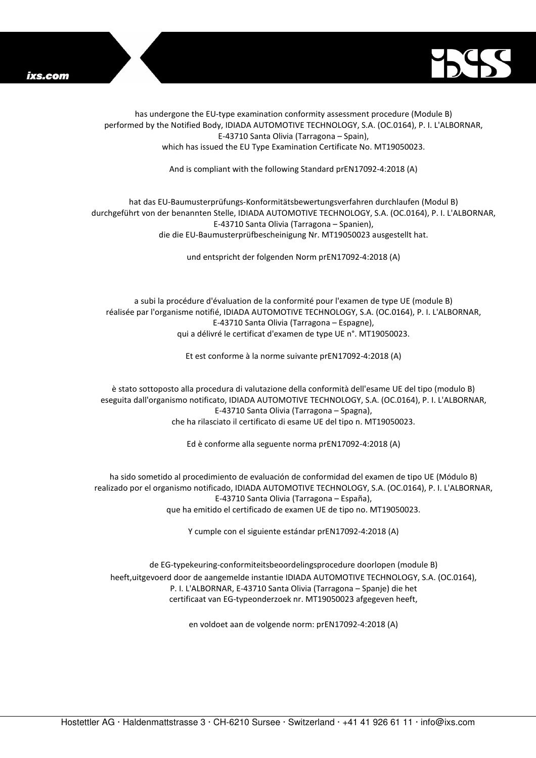



has undergone the EU-type examination conformity assessment procedure (Module B) performed by the Notified Body, IDIADA AUTOMOTIVE TECHNOLOGY, S.A. (OC.0164), P. I. L'ALBORNAR, E-43710 Santa Olivia (Tarragona – Spain), which has issued the EU Type Examination Certificate No. MT19050023.

And is compliant with the following Standard prEN17092-4:2018 (A)

## hat das EU-Baumusterprüfungs-Konformitätsbewertungsverfahren durchlaufen (Modul B) durchgeführt von der benannten Stelle, IDIADA AUTOMOTIVE TECHNOLOGY, S.A. (OC.0164), P. I. L'ALBORNAR, E-43710 Santa Olivia (Tarragona – Spanien), die die EU-Baumusterprüfbescheinigung Nr. MT19050023 ausgestellt hat.

und entspricht der folgenden Norm prEN17092-4:2018 (A)

a subi la procédure d'évaluation de la conformité pour l'examen de type UE (module B) réalisée par l'organisme notifié, IDIADA AUTOMOTIVE TECHNOLOGY, S.A. (OC.0164), P. I. L'ALBORNAR, E-43710 Santa Olivia (Tarragona – Espagne), qui a délivré le certificat d'examen de type UE n°. MT19050023.

Et est conforme à la norme suivante prEN17092-4:2018 (A)

è stato sottoposto alla procedura di valutazione della conformità dell'esame UE del tipo (modulo B) eseguita dall'organismo notificato, IDIADA AUTOMOTIVE TECHNOLOGY, S.A. (OC.0164), P. I. L'ALBORNAR, E-43710 Santa Olivia (Tarragona – Spagna), che ha rilasciato il certificato di esame UE del tipo n. MT19050023.

Ed è conforme alla seguente norma prEN17092-4:2018 (A)

ha sido sometido al procedimiento de evaluación de conformidad del examen de tipo UE (Módulo B) realizado por el organismo notificado, IDIADA AUTOMOTIVE TECHNOLOGY, S.A. (OC.0164), P. I. L'ALBORNAR, E-43710 Santa Olivia (Tarragona – España), que ha emitido el certificado de examen UE de tipo no. MT19050023.

Y cumple con el siguiente estándar prEN17092-4:2018 (A)

de EG-typekeuring-conformiteitsbeoordelingsprocedure doorlopen (module B) heeft,uitgevoerd door de aangemelde instantie IDIADA AUTOMOTIVE TECHNOLOGY, S.A. (OC.0164), P. I. L'ALBORNAR, E-43710 Santa Olivia (Tarragona – Spanje) die het certificaat van EG-typeonderzoek nr. MT19050023 afgegeven heeft,

en voldoet aan de volgende norm: prEN17092-4:2018 (A)